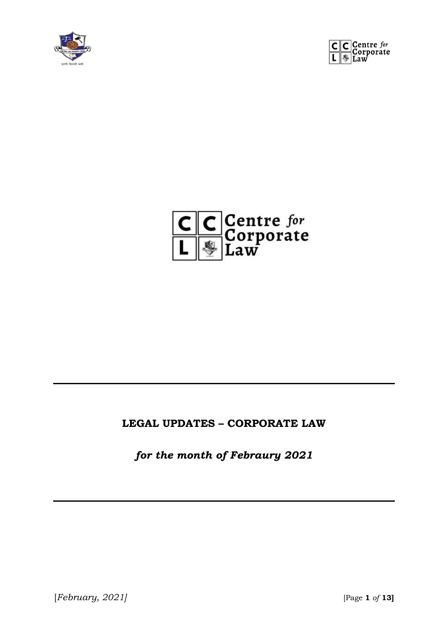





#### **LEGAL UPDATES – CORPORATE LAW**

*for the month of Febraury 2021*

[*February, 2021]* [Page **1** *of* **13]**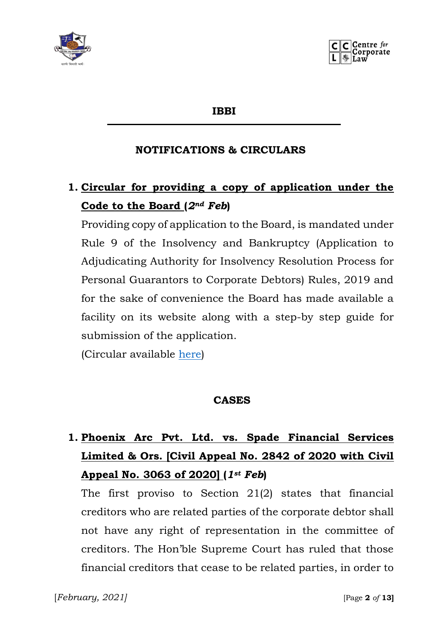

**IBBI**

#### **NOTIFICATIONS & CIRCULARS**

## **1. Circular for providing a copy of application under the Code to the Board (***2nd Feb***)**

Providing copy of application to the Board, is mandated under Rule 9 of the Insolvency and Bankruptcy (Application to Adjudicating Authority for Insolvency Resolution Process for Personal Guarantors to Corporate Debtors) Rules, 2019 and for the sake of convenience the Board has made available a facility on its website along with a step-by step guide for submission of the application.

(Circular available [here\)](https://ibbi.gov.in/uploads/legalframwork/8d38ca4dc37264636b22daa2a3c637ba.pdf)

#### **CASES**

# **1. Phoenix Arc Pvt. Ltd. vs. Spade Financial Services Limited & Ors. [Civil Appeal No. 2842 of 2020 with Civil Appeal No. 3063 of 2020] (***1st Feb***)**

The first proviso to Section 21(2) states that financial creditors who are related parties of the corporate debtor shall not have any right of representation in the committee of creditors. The Hon'ble Supreme Court has ruled that those financial creditors that cease to be related parties, in order to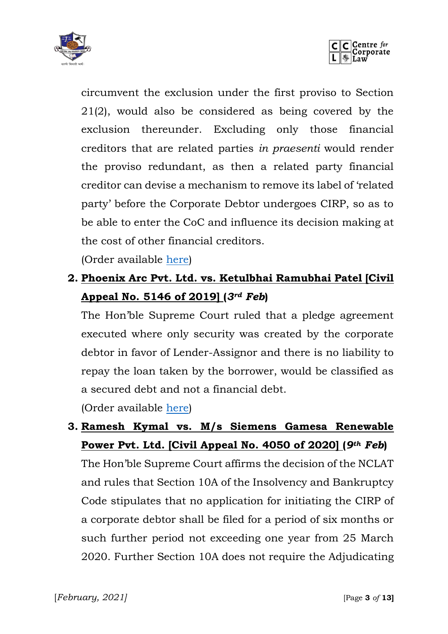



circumvent the exclusion under the first proviso to Section 21(2), would also be considered as being covered by the exclusion thereunder. Excluding only those financial creditors that are related parties *in praesenti* would render the proviso redundant, as then a related party financial creditor can devise a mechanism to remove its label of 'related party' before the Corporate Debtor undergoes CIRP, so as to be able to enter the CoC and influence its decision making at the cost of other financial creditors.

(Order available [here\)](https://ibbi.gov.in/uploads/order/a05b0fb37f6ba33290c7e0bfc690cf75.pdf)

## **2. Phoenix Arc Pvt. Ltd. vs. Ketulbhai Ramubhai Patel [Civil Appeal No. 5146 of 2019] (***3rd Feb***)**

The Hon'ble Supreme Court ruled that a pledge agreement executed where only security was created by the corporate debtor in favor of Lender-Assignor and there is no liability to repay the loan taken by the borrower, would be classified as a secured debt and not a financial debt.

(Order available [here\)](https://ibbi.gov.in/uploads/whatsnew/f067fc7305343567fae58a8c819cb650.pdf)

### **3. Ramesh Kymal vs. M/s Siemens Gamesa Renewable Power Pvt. Ltd. [Civil Appeal No. 4050 of 2020] (***9th Feb***)**

The Hon'ble Supreme Court affirms the decision of the NCLAT and rules that Section 10A of the Insolvency and Bankruptcy Code stipulates that no application for initiating the CIRP of a corporate debtor shall be filed for a period of six months or such further period not exceeding one year from 25 March 2020. Further Section 10A does not require the Adjudicating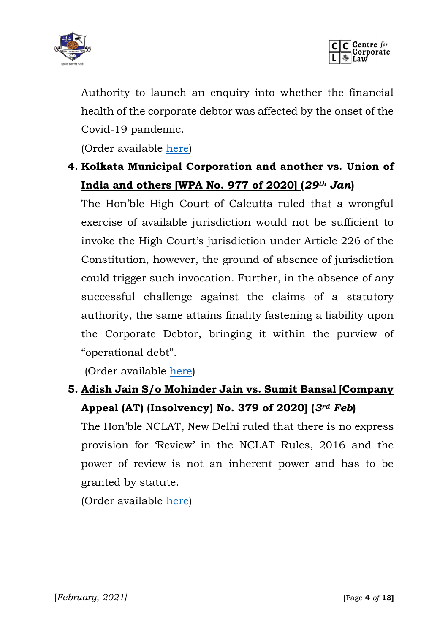



Authority to launch an enquiry into whether the financial health of the corporate debtor was affected by the onset of the Covid-19 pandemic.

(Order available [here\)](https://ibbi.gov.in/uploads/order/568ecfc7b8571937c62966a67b653aaf.pdf)

### **4. Kolkata Municipal Corporation and another vs. Union of India and others [WPA No. 977 of 2020] (***29th Jan***)**

The Hon'ble High Court of Calcutta ruled that a wrongful exercise of available jurisdiction would not be sufficient to invoke the High Court's jurisdiction under Article 226 of the Constitution, however, the ground of absence of jurisdiction could trigger such invocation. Further, in the absence of any successful challenge against the claims of a statutory authority, the same attains finality fastening a liability upon the Corporate Debtor, bringing it within the purview of "operational debt".

(Order available [here\)](https://ibbi.gov.in/uploads/order/1bb33d4403be2e92c13e552848f22bb3.pdf)

### **5. Adish Jain S/o Mohinder Jain vs. Sumit Bansal [Company Appeal (AT) (Insolvency) No. 379 of 2020] (***3rd Feb***)**

The Hon'ble NCLAT, New Delhi ruled that there is no express provision for 'Review' in the NCLAT Rules, 2016 and the power of review is not an inherent power and has to be granted by statute.

(Order available [here\)](https://ibbi.gov.in/uploads/order/697c25557a00e9a2776d0922d8c6de22.pdf)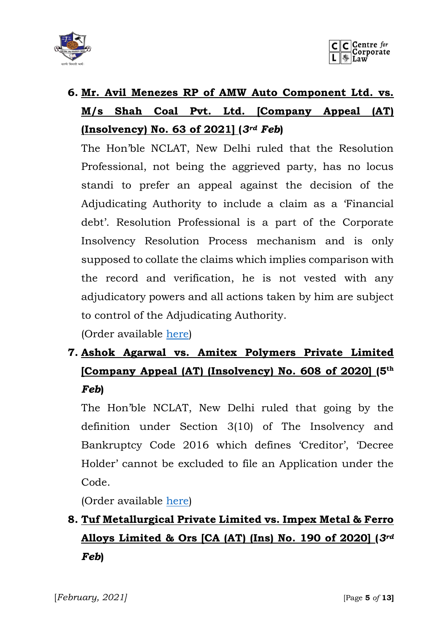



# **6. Mr. Avil Menezes RP of AMW Auto Component Ltd. vs. M/s Shah Coal Pvt. Ltd. [Company Appeal (AT) (Insolvency) No. 63 of 2021] (***3rd Feb***)**

The Hon'ble NCLAT, New Delhi ruled that the Resolution Professional, not being the aggrieved party, has no locus standi to prefer an appeal against the decision of the Adjudicating Authority to include a claim as a 'Financial debt'. Resolution Professional is a part of the Corporate Insolvency Resolution Process mechanism and is only supposed to collate the claims which implies comparison with the record and verification, he is not vested with any adjudicatory powers and all actions taken by him are subject to control of the Adjudicating Authority.

(Order available [here\)](https://ibbi.gov.in/uploads/order/41a77214df700b3c0e3a9993ba709475.pdf)

## **7. Ashok Agarwal vs. Amitex Polymers Private Limited [Company Appeal (AT) (Insolvency) No. 608 of 2020] (5th** *Feb***)**

The Hon'ble NCLAT, New Delhi ruled that going by the definition under Section 3(10) of The Insolvency and Bankruptcy Code 2016 which defines 'Creditor', 'Decree Holder' cannot be excluded to file an Application under the Code.

(Order available [here\)](https://nclat.nic.in/Useradmin/upload/975684716601e411aa226a.pdf)

# **8. Tuf Metallurgical Private Limited vs. Impex Metal & Ferro Alloys Limited & Ors [CA (AT) (Ins) No. 190 of 2020] (***3rd Feb***)**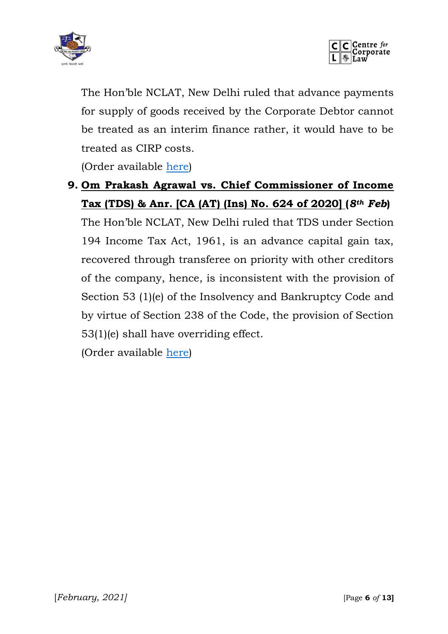



The Hon'ble NCLAT, New Delhi ruled that advance payments for supply of goods received by the Corporate Debtor cannot be treated as an interim finance rather, it would have to be treated as CIRP costs.

(Order available [here\)](https://ibbi.gov.in/uploads/order/ceb875e84a9871a055f9ad5bceb52d02.pdf)

### **9. Om Prakash Agrawal vs. Chief Commissioner of Income Tax (TDS) & Anr. [CA (AT) (Ins) No. 624 of 2020] (***8th Feb***)**

The Hon'ble NCLAT, New Delhi ruled that TDS under Section 194 Income Tax Act, 1961, is an advance capital gain tax, recovered through transferee on priority with other creditors of the company, hence, is inconsistent with the provision of Section 53 (1)(e) of the Insolvency and Bankruptcy Code and by virtue of Section 238 of the Code, the provision of Section 53(1)(e) shall have overriding effect.

(Order available [here\)](https://ibbi.gov.in/uploads/order/ebb949a712ff8e5fd90f8d6b25222b77.pdf)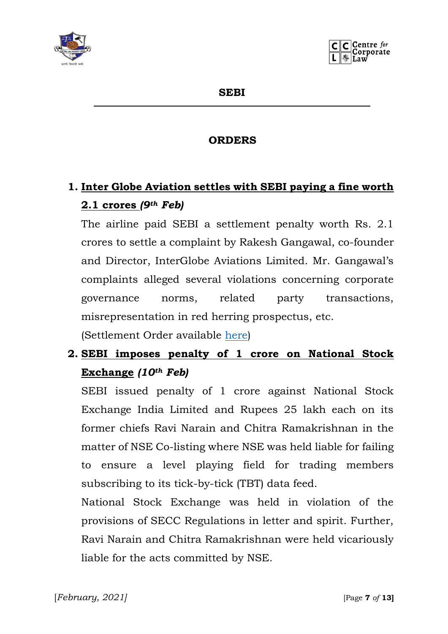



**SEBI**

#### **ORDERS**

## **1. Inter Globe Aviation settles with SEBI paying a fine worth 2.1 crores** *(9th Feb)*

The airline paid SEBI a settlement penalty worth Rs. 2.1 crores to settle a complaint by Rakesh Gangawal, co-founder and Director, InterGlobe Aviations Limited. Mr. Gangawal's complaints alleged several violations concerning corporate governance norms, related party transactions, misrepresentation in red herring prospectus, etc.

(Settlement Order available [here\)](https://www.sebi.gov.in/enforcement/orders/feb-2021/setlement-order-in-the-matter-of-integlobe-aviation-limited_49067.html)

## **2. SEBI imposes penalty of 1 crore on National Stock Exchange** *(10th Feb)*

SEBI issued penalty of 1 crore against National Stock Exchange India Limited and Rupees 25 lakh each on its former chiefs Ravi Narain and Chitra Ramakrishnan in the matter of NSE Co-listing where NSE was held liable for failing to ensure a level playing field for trading members subscribing to its tick-by-tick (TBT) data feed.

National Stock Exchange was held in violation of the provisions of SECC Regulations in letter and spirit. Further, Ravi Narain and Chitra Ramakrishnan were held vicariously liable for the acts committed by NSE.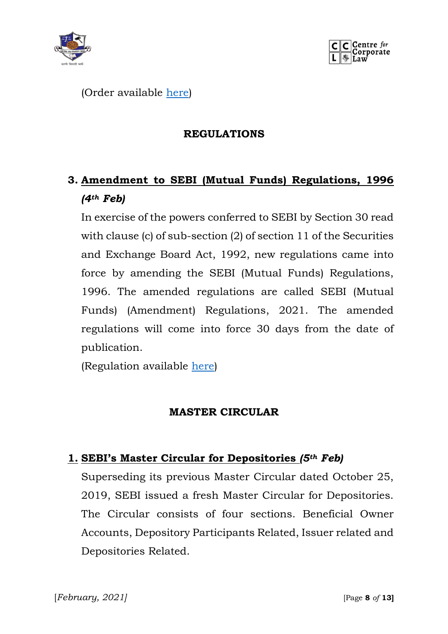



(Order available [here\)](https://www.sebi.gov.in/enforcement/orders/feb-2021/adjudication-order-in-respect-of-three-entities-in-the-matter-of-nse-co-location_49079.html)

#### **REGULATIONS**

## **3. Amendment to SEBI (Mutual Funds) Regulations, 1996**  *(4th Feb)*

In exercise of the powers conferred to SEBI by Section 30 read with clause (c) of sub-section (2) of section 11 of the Securities and Exchange Board Act, 1992, new regulations came into force by amending the SEBI (Mutual Funds) Regulations, 1996. The amended regulations are called SEBI (Mutual Funds) (Amendment) Regulations, 2021. The amended regulations will come into force 30 days from the date of publication.

(Regulation available [here\)](https://www.sebi.gov.in/legal/regulations/feb-2021/securities-and-exchange-board-of-india-mutual-funds-amendment-regulations-2021_49020.html)

#### **MASTER CIRCULAR**

#### **1. SEBI's Master Circular for Depositories** *(5th Feb)*

Superseding its previous Master Circular dated October 25, 2019, SEBI issued a fresh Master Circular for Depositories. The Circular consists of four sections. Beneficial Owner Accounts, Depository Participants Related, Issuer related and Depositories Related.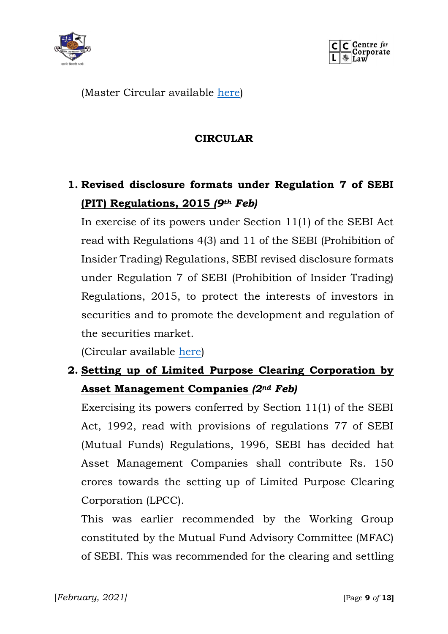



(Master Circular available [here\)](https://www.sebi.gov.in/legal/master-circulars/feb-2021/master-circular-for-depositories_49029.html)

#### **CIRCULAR**

## **1. Revised disclosure formats under Regulation 7 of SEBI (PIT) Regulations, 2015** *(9th Feb)*

In exercise of its powers under Section 11(1) of the SEBI Act read with Regulations 4(3) and 11 of the SEBI (Prohibition of Insider Trading) Regulations, SEBI revised disclosure formats under Regulation 7 of SEBI (Prohibition of Insider Trading) Regulations, 2015, to protect the interests of investors in securities and to promote the development and regulation of the securities market.

(Circular available [here\)](https://www.sebi.gov.in/legal/circulars/feb-2021/revised-disclosure-formats-under-regulation-7-of-sebi-prohibition-of-insider-trading-regulations-2015_49068.html)

### **2. Setting up of Limited Purpose Clearing Corporation by Asset Management Companies** *(2nd Feb)*

Exercising its powers conferred by Section 11(1) of the SEBI Act, 1992, read with provisions of regulations 77 of SEBI (Mutual Funds) Regulations, 1996, SEBI has decided hat Asset Management Companies shall contribute Rs. 150 crores towards the setting up of Limited Purpose Clearing Corporation (LPCC).

This was earlier recommended by the Working Group constituted by the Mutual Fund Advisory Committee (MFAC) of SEBI. This was recommended for the clearing and settling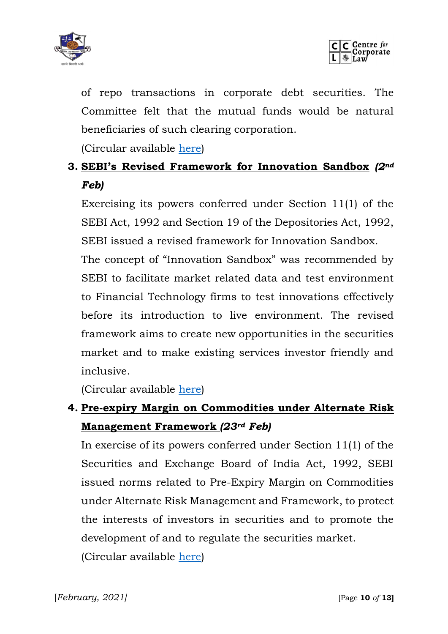



of repo transactions in corporate debt securities. The Committee felt that the mutual funds would be natural beneficiaries of such clearing corporation.

(Circular available [here\)](https://www.sebi.gov.in/legal/circulars/feb-2021/setting-up-of-limited-purpose-clearing-corporation-lpcc-by-asset-management-companies-amcs-of-mutual-funds_48982.html)

### **3. SEBI's Revised Framework for Innovation Sandbox** *(2nd Feb)*

Exercising its powers conferred under Section 11(1) of the SEBI Act, 1992 and Section 19 of the Depositories Act, 1992, SEBI issued a revised framework for Innovation Sandbox.

The concept of "Innovation Sandbox" was recommended by SEBI to facilitate market related data and test environment to Financial Technology firms to test innovations effectively before its introduction to live environment. The revised framework aims to create new opportunities in the securities market and to make existing services investor friendly and inclusive.

(Circular available [here\)](https://www.sebi.gov.in/legal/circulars/feb-2021/revised-framework-for-innovation-sandbox_48983.html)

## **4. Pre-expiry Margin on Commodities under Alternate Risk Management Framework** *(23rd Feb)*

In exercise of its powers conferred under Section 11(1) of the Securities and Exchange Board of India Act, 1992, SEBI issued norms related to Pre-Expiry Margin on Commodities under Alternate Risk Management and Framework, to protect the interests of investors in securities and to promote the development of and to regulate the securities market. (Circular available [here\)](https://www.sebi.gov.in/legal/circulars/feb-2021/pre-expiry-margin-on-commodities-under-alternate-risk-management-framework_49229.html)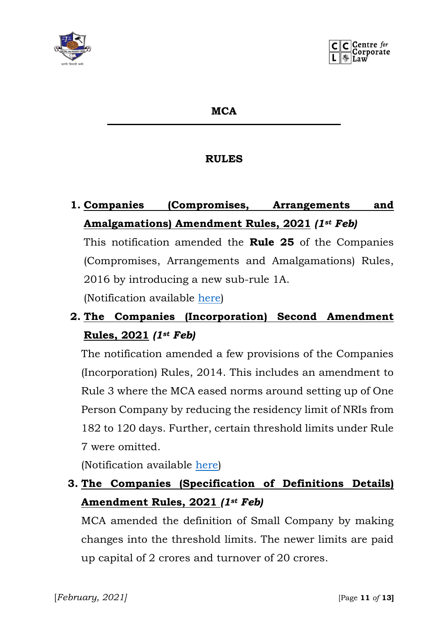

#### **MCA**

#### **RULES**

**1. Companies (Compromises, Arrangements and Amalgamations) Amendment Rules, 2021** *(1st Feb)*

This notification amended the **Rule 25** of the Companies (Compromises, Arrangements and Amalgamations) Rules, 2016 by introducing a new sub-rule 1A.

(Notification available [here\)](http://www.mca.gov.in/Ministry/pdf/AmalgamationsAmndtRules_02022021.pdf)

## **2. The Companies (Incorporation) Second Amendment Rules, 2021** *(1st Feb)*

The notification amended a few provisions of the Companies (Incorporation) Rules, 2014. This includes an amendment to Rule 3 where the MCA eased norms around setting up of One Person Company by reducing the residency limit of NRIs from 182 to 120 days. Further, certain threshold limits under Rule 7 were omitted.

(Notification available [here\)](http://www.mca.gov.in/Ministry/pdf/CompaniesSecondAmndtRules_16022021.pdf)

### **3. The Companies (Specification of Definitions Details) Amendment Rules, 2021** *(1st Feb)*

MCA amended the definition of Small Company by making changes into the threshold limits. The newer limits are paid up capital of 2 crores and turnover of 20 crores.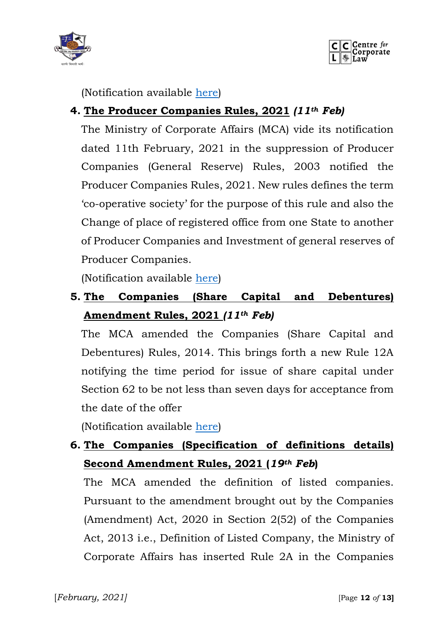



(Notification available [here\)](http://www.mca.gov.in/Ministry/pdf/SpecificationAmndtRules_02022021.pdf)

#### **4. The Producer Companies Rules, 2021** *(11th Feb)*

The Ministry of Corporate Affairs (MCA) vide its notification dated 11th February, 2021 in the suppression of Producer Companies (General Reserve) Rules, 2003 notified the Producer Companies Rules, 2021. New rules defines the term 'co-operative society' for the purpose of this rule and also the Change of place of registered office from one State to another of Producer Companies and Investment of general reserves of Producer Companies.

(Notification available [here\)](http://www.mca.gov.in/Ministry/pdf/ProducerCompaniesRules_16022021.pdf)

**5. The Companies (Share Capital and Debentures) Amendment Rules, 2021** *(11th Feb)*

The MCA amended the Companies (Share Capital and Debentures) Rules, 2014. This brings forth a new Rule 12A notifying the time period for issue of share capital under Section 62 to be not less than seven days for acceptance from the date of the offer

(Notification available [here\)](http://www.mca.gov.in/Ministry/pdf/CompaniesShareCapitalDebenturesRules_16022021.pdf)

## **6. The Companies (Specification of definitions details) Second Amendment Rules, 2021 (***19th Feb***)**

The MCA amended the definition of listed companies. Pursuant to the amendment brought out by the Companies (Amendment) Act, 2020 in Section 2(52) of the Companies Act, 2013 i.e., Definition of Listed Company, the Ministry of Corporate Affairs has inserted Rule 2A in the Companies